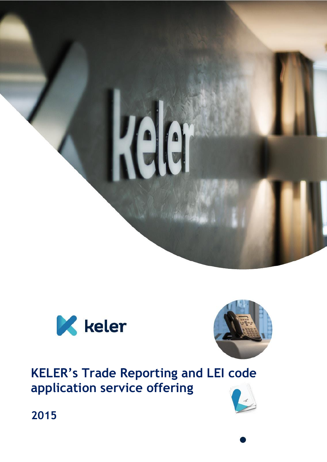





**KELER's Trade Reporting and LEI code application service offering**



**2015**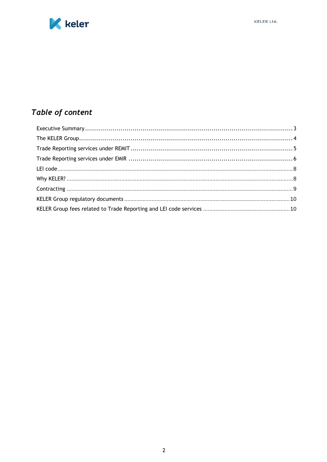



# Table of content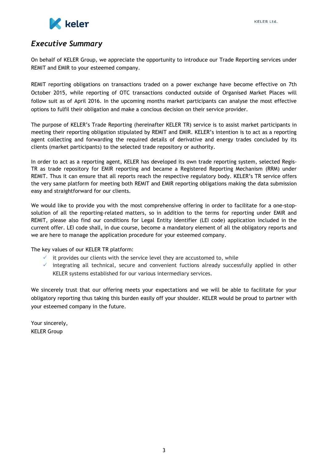

## <span id="page-2-0"></span>*Executive Summary*

On behalf of KELER Group, we appreciate the opportunity to introduce our Trade Reporting services under REMIT and EMIR to your esteemed company.

REMIT reporting obligations on transactions traded on a power exchange have become effective on 7th October 2015, while reporting of OTC transactions conducted outside of Organised Market Places will follow suit as of April 2016. In the upcoming months market participants can analyse the most effective options to fulfil their obligation and make a concious decision on their service provider.

The purpose of KELER's Trade Reporting (hereinafter KELER TR) service is to assist market participants in meeting their reporting obligation stipulated by REMIT and EMIR. KELER's intention is to act as a reporting agent collecting and forwarding the required details of derivative and energy trades concluded by its clients (market participants) to the selected trade repository or authority.

In order to act as a reporting agent, KELER has developed its own trade reporting system, selected Regis-TR as trade repository for EMIR reporting and became a Registered Reporting Mechanism (RRM) under REMIT. Thus it can ensure that all reports reach the respective regulatory body. KELER's TR service offers the very same platform for meeting both REMIT and EMIR reporting obligations making the data submission easy and straightforward for our clients.

We would like to provide you with the most comprehensive offering in order to facilitate for a one-stopsolution of all the reporting-related matters, so in addition to the terms for reporting under EMIR and REMIT, please also find our conditions for Legal Entity Identifier (LEI code) application included in the current offer. LEI code shall, in due course, become a mandatory element of all the obligatory reports and we are here to manage the application procedure for your esteemed company.

The key values of our KELER TR platform:

- $\checkmark$  it provides our clients with the service level they are accustomed to, while
- $\checkmark$  integrating all technical, secure and convenient fuctions already successfully applied in other KELER systems established for our various intermediary services.

We sincerely trust that our offering meets your expectations and we will be able to facilitate for your obligatory reporting thus taking this burden easily off your shoulder. KELER would be proud to partner with your esteemed company in the future.

Your sincerely, KELER Group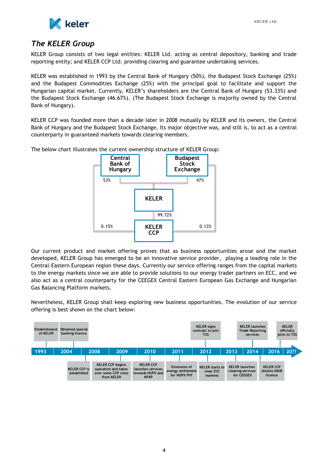

### <span id="page-3-0"></span>*The KELER Group*

KELER Group consists of two legal entities: KELER Ltd. acting as central depository, banking and trade reporting entity; and KELER CCP Ltd. providing clearing and guarantee undertaking services.

KELER was established in 1993 by the Central Bank of Hungary (50%), the Budapest Stock Exchange (25%) and the Budapest Commodities Exchange (25%) with the principal goal to facilitate and support the Hungarian capital market. Currently, KELER's shareholders are the Central Bank of Hungary (53.33%) and the Budapest Stock Exchange (46.67%). (The Budapest Stock Exchange is majority owned by the Central Bank of Hungary).

KELER CCP was founded more than a decade later in 2008 mutually by KELER and its owners, the Central Bank of Hungary and the Budapest Stock Exchange. Its major objective was, and still is, to act as a central **contral**<br>counterparty in guaranteed markets towards clearing members counterparty in guaranteed markets towards clearing members.

> **Central Bank of Hungary Budapest Stock Exchange KELER KELER CCP** 53% 47% 99.72% 0.13% 0.15%

The below chart illustrates the current ownership structure of KELER Group:

Our current product and market offering proves that as business opportunities arose and the market developed, KELER Group has emerged to be an innovative service provider, playing a leading role in the Central-Eastern European region these days. Currently our service offering ranges from the capital markets to the energy markets since we are able to provide solutions to our energy trader partners on ECC, and we also act as a central counterparty for the CEEGEX Central Eastern European Gas Exchange and Hungarian Gas Balancing Platform markets.

Nevertheless, KELER Group shall keep exploring new business opportunities. The evolution of our service offering is best shown on the chart below:

<span id="page-3-1"></span>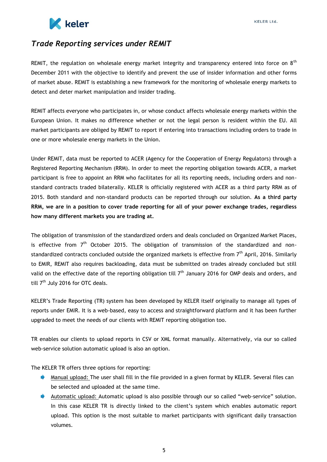

# *Trade Reporting services under REMIT*

REMIT, the regulation on wholesale energy market integrity and transparency entered into force on  $8<sup>th</sup>$ December 2011 with the objective to identify and prevent the use of insider information and other forms of market abuse. REMIT is establishing a new framework for the monitoring of wholesale energy markets to detect and deter market manipulation and insider trading.

REMIT affects everyone who participates in, or whose conduct affects wholesale energy markets within the European Union. It makes no difference whether or not the legal person is resident within the EU. All market participants are obliged by REMIT to report if entering into transactions including orders to trade in one or more wholesale energy markets in the Union.

Under REMIT, data must be reported to ACER (Agency for the Cooperation of Energy Regulators) through a Registered Reporting Mechanism (RRM). In order to meet the reporting obligation towards ACER, a market participant is free to appoint an RRM who facilitates for all its reporting needs, including orders and nonstandard contracts traded bilaterally. KELER is officially registered with ACER as a third party RRM as of 2015. Both standard and non-standard products can be reported through our solution. **As a third party RRM, we are in a position to cover trade reporting for all of your power exchange trades, regardless how many different markets you are trading at.**

The obligation of transmission of the standardized orders and deals concluded on Organized Market Places, is effective from  $7<sup>th</sup>$  October 2015. The obligation of transmission of the standardized and nonstandardized contracts concluded outside the organized markets is effective from  $7<sup>th</sup>$  April, 2016. Similarly to EMIR, REMIT also requires backloading, data must be submitted on trades already concluded but still valid on the effective date of the reporting obligation till  $7<sup>th</sup>$  January 2016 for OMP deals and orders, and till 7<sup>th</sup> July 2016 for OTC deals.

KELER's Trade Reporting (TR) system has been developed by KELER itself originally to manage all types of reports under EMIR. It is a web-based, easy to access and straightforward platform and it has been further upgraded to meet the needs of our clients with REMIT reporting obligation too.

TR enables our clients to upload reports in CSV or XML format manually. Alternatively, via our so called web-service solution automatic upload is also an option.

The KELER TR offers three options for reporting:

- **Manual upload:** The user shall fill in the file provided in a given format by KELER. Several files can be selected and uploaded at the same time.
- Automatic upload: Automatic upload is also possible through our so called "web-service" solution. In this case KELER TR is directly linked to the client's system which enables automatic report upload. This option is the most suitable to market participants with significant daily transaction volumes.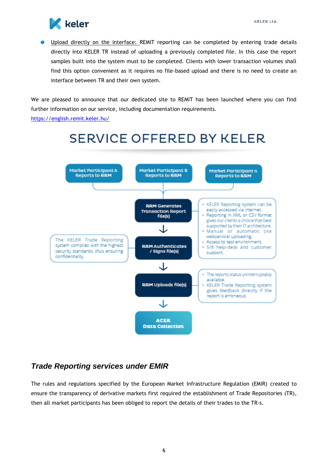

D Upload directly on the interface: REMIT reporting can be completed by entering trade details directly into KELER TR instead of uploading a previously completed file. In this case the report samples built into the system must to be completed. Clients with lower transaction volumes shall find this option convenient as it requires no file-based upload and there is no need to create an interface between TR and their own system.

We are pleased to announce that our dedicated site to REMIT has been launched where you can find further information on our service, including documentation requirements.

<https://english.remit.keler.hu/>



## <span id="page-5-0"></span>*Trade Reporting services under EMIR*

The rules and regulations specified by the European Market Infrastructure Regulation (EMIR) created to ensure the transparency of derivative markets first required the establishment of Trade Repositories (TR), then all market participants has been obliged to report the details of their trades to the TR-s.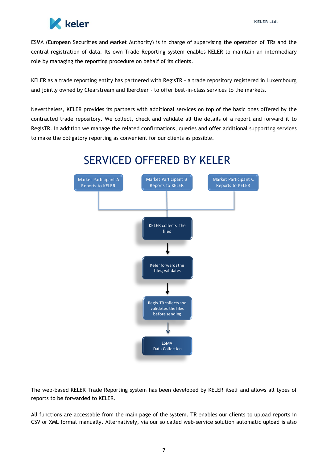

ESMA (European Securities and Market Authority) is in charge of supervising the operation of TRs and the central registration of data. Its own Trade Reporting system enables KELER to maintain an intermediary role by managing the reporting procedure on behalf of its clients.

KELER as a trade reporting entity has partnered with RegisTR - a trade repository registered in Luxembourg and jointly owned by Clearstream and Iberclear - to offer best-in-class services to the markets.

Nevertheless, KELER provides its partners with additional services on top of the basic ones offered by the contracted trade repository. We collect, check and validate all the details of a report and forward it to RegisTR. In addition we manage the related confirmations, queries and offer additional supporting services to make the obligatory reporting as convenient for our clients as possible.



The web-based KELER Trade Reporting system has been developed by KELER itself and allows all types of reports to be forwarded to KELER.

All functions are accessable from the main page of the system. TR enables our clients to upload reports in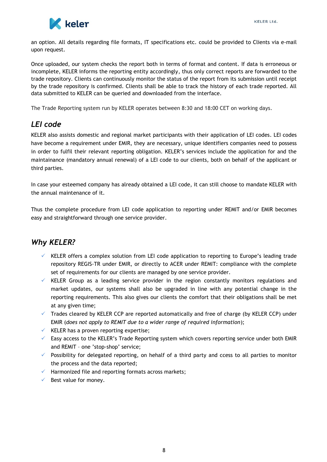

an option. All details regarding file formats, IT specifications etc. could be provided to Clients via e-mail upon request.

Once uploaded, our system checks the report both in terms of format and content. If data is erroneous or incomplete, KELER informs the reporting entity accordingly, thus only correct reports are forwarded to the trade repository. Clients can continuously monitor the status of the report from its submission until receipt by the trade repository is confirmed. Clients shall be able to track the history of each trade reported. All data submitted to KELER can be queried and downloaded from the interface.

The Trade Reporting system run by KELER operates between 8:30 and 18:00 CET on working days.

# <span id="page-7-0"></span>*LEI code*

KELER also assists domestic and regional market participants with their application of LEI codes. LEI codes have become a requirement under EMIR, they are necessary, unique identifiers companies need to possess in order to fulfil their relevant reporting obligation. KELER's services include the application for and the maintainance (mandatory annual renewal) of a LEI code to our clients, both on behalf of the applicant or third parties.

In case your esteemed company has already obtained a LEI code, it can still choose to mandate KELER with the annual maintenance of it.

Thus the complete procedure from LEI code application to reporting under REMIT and/or EMIR becomes easy and straightforward through one service provider.

# <span id="page-7-1"></span>*Why KELER?*

- $\checkmark$  KELER offers a complex solution from LEI code application to reporting to Europe's leading trade repository REGIS-TR under EMIR, or directly to ACER under REMIT: compliance with the complete set of requirements for our clients are managed by one service provider.
- $\checkmark$  KELER Group as a leading service provider in the region constantly monitors regulations and market updates, our systems shall also be upgraded in line with any potential change in the reporting requirements. This also gives our clients the comfort that their obligations shall be met at any given time;
- $\checkmark$  Trades cleared by KELER CCP are reported automatically and free of charge (by KELER CCP) under EMIR (*does not apply to REMIT due to a wider range of required information*);
- $\checkmark$  KELER has a proven reporting expertise;
- $\checkmark$  Easy access to the KELER's Trade Reporting system which covers reporting service under both EMIR and REMIT – one 'stop-shop' service;
- $\checkmark$  Possibility for delegated reporting, on hehalf of a third party and ccess to all parties to monitor the process and the data reported;
- $\checkmark$  Harmonized file and reporting formats across markets;
- <span id="page-7-2"></span> $\checkmark$  Best value for money.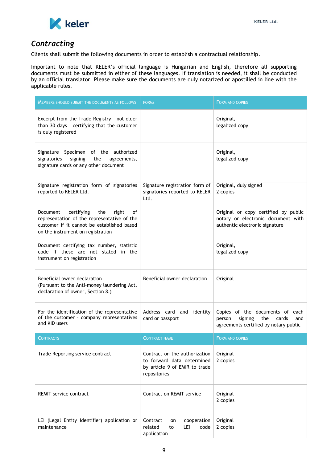

# *Contracting*

Clients shall submit the following documents in order to establish a contractual relationship.

Important to note that KELER's official language is Hungarian and English, therefore all supporting documents must be submitted in either of these languages. If translation is needed, it shall be conducted by an official translator. Please make sure the documents are duly notarized or apostilled in line with the applicable rules.

| <b>MEMBERS SHOULD SUBMIT THE DOCUMENTS AS FOLLOWS</b>                                                                                                                          | <b>FORMS</b>                                                                                                 | FORM AND COPIES                                                                                                      |  |
|--------------------------------------------------------------------------------------------------------------------------------------------------------------------------------|--------------------------------------------------------------------------------------------------------------|----------------------------------------------------------------------------------------------------------------------|--|
| Excerpt from the Trade Registry - not older<br>than 30 days - certifying that the customer<br>is duly registered                                                               |                                                                                                              | Original,<br>legalized copy                                                                                          |  |
| Signature Specimen of the authorized<br>signatories<br>signing<br>the<br>agreements,<br>signature cards or any other document                                                  |                                                                                                              | Original,<br>legalized copy                                                                                          |  |
| Signature registration form of signatories<br>reported to KELER Ltd.                                                                                                           | Signature registration form of<br>signatories reported to KELER<br>Ltd.                                      | Original, duly signed<br>2 copies                                                                                    |  |
| certifying<br>the<br>right<br>Document<br>οf<br>representation of the representative of the<br>customer if it cannot be established based<br>on the instrument on registration |                                                                                                              | Original or copy certified by public<br>notary or electronic document with<br>authentic electronic signature         |  |
| Document certifying tax number, statistic<br>code if these are not stated in the<br>instrument on registration                                                                 |                                                                                                              | Original,<br>legalized copy                                                                                          |  |
| Beneficial owner declaration<br>(Pursuant to the Anti-money laundering Act,<br>declaration of owner, Section 8.)                                                               | Beneficial owner declaration                                                                                 | Original                                                                                                             |  |
| For the identification of the representative<br>of the customer - company representatives<br>and KID users                                                                     | Address card and identity<br>card or passport                                                                | Copies of the documents of each<br>signing<br>the<br>person<br>cards<br>and<br>agreements certified by notary public |  |
| <b>CONTRACTS</b>                                                                                                                                                               | <b>CONTRACT NAME</b>                                                                                         | <b>FORM AND COPIES</b>                                                                                               |  |
| Trade Reporting service contract                                                                                                                                               | Contract on the authorization<br>to forward data determined<br>by article 9 of EMIR to trade<br>repositories | Original<br>2 copies                                                                                                 |  |
| <b>REMIT service contract</b>                                                                                                                                                  | Contract on REMIT service                                                                                    | Original<br>2 copies                                                                                                 |  |
| LEI (Legal Entity Identifier) application or<br>maintenance                                                                                                                    | Contract<br>cooperation<br>on<br>related<br>LEI<br>code<br>to<br>application                                 | Original<br>2 copies                                                                                                 |  |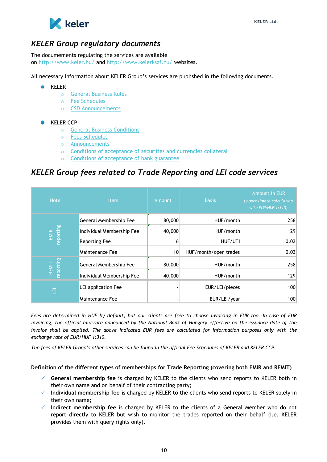

### <span id="page-9-0"></span>*KELER Group regulatory documents*

The documements regulating the services are available on [http://www.keler.hu/](http://www.keler.hu/keler/keler_angol.main.page) and [http://www.kelerkszf.hu/](http://www.kelerkszf.hu/kelerkszf/kelerkszf_angol.main.page) websites.

All necessary information about KELER Group's services are published in the following documents.

#### $\blacktriangleright$  KELER

- o [General Business Rules](http://www.keler.hu/keler/keler_angol.head.page?nodeid=1233)
- o [Fee Schedules](http://www.keler.hu/keler/keler_angol.head.page?nodeid=1137)
- o CSD [Announcements](http://www.keler.hu/keler/keler_angol.head.page?nodeid=1138)

#### **KELER CCP**

- o [General Business Conditions](http://www.kelerkszf.hu/kelerkszf/kelerkszf_angol.head.page?nodeid=337)
- o [Fees Schedules](http://www.kelerkszf.hu/kelerkszf/kelerkszf_angol.news.page?nodeid=183)
- o [Announcements](http://www.kelerkszf.hu/kelerkszf/kelerkszf_angol.head.page?nodeid=106)
- o [Conditions of acceptance of securities and currencies collateral](http://www.kelerkszf.hu/kelerkszf/kelerkszf_angol.news.page?nodeid=190)
- o [Conditions of acceptance of bank guarantee](http://www.kelerkszf.hu/kelerkszf/kelerkszf_angol.news.page?nodeid=192)

## <span id="page-9-1"></span>*KELER Group fees related to Trade Reporting and LEI code services*

| <b>Note</b>        | <b>Item</b>               | <b>Amount</b> | <b>Basis</b>          | <b>Amount in EUR</b><br>(approximate calculation<br>with EUR: HUF 1:310) |
|--------------------|---------------------------|---------------|-----------------------|--------------------------------------------------------------------------|
|                    | General Membership Fee    | 80,000        | HUF/month             | 258                                                                      |
| reporting<br>EMIR  | Individual Membership Fee | 40,000        | HUF/month             | 129                                                                      |
|                    | <b>Reporting Fee</b>      | 6             | HUF/UTI               | 0.02                                                                     |
|                    | Maintenance Fee           | 10            | HUF/month/open trades | 0.03                                                                     |
| reporting<br>REMIT | General Membership Fee    | 80,000        | HUF/month             | 258                                                                      |
|                    | Individual Membership Fee | 40,000        | HUF/month             | 129                                                                      |
| 巴                  | LEI application Fee       |               | EUR/LEI/pieces        | 100                                                                      |
|                    | Maintenance Fee           |               | EUR/LEI/year          | 100                                                                      |

*Fees are determined in HUF by default, but our clients are free to choose invoicing in EUR too. In case of EUR invoicing, the official mid-rate announced by the National Bank of Hungary effective on the issuance date of the invoice shall be applied. The above indicated EUR fees are calculated for information purposes only with the exchange rate of EUR/HUF 1:310.* 

*The fees of KELER Group's other services can be found in the official Fee Schedules of KELER and KELER CCP.* 

#### **Definition of the different types of memberships for Trade Reporting (covering both EMIR and REMIT)**

- **General membership fee** is charged by KELER to the clients who send reports to KELER both in their own name and on behalf of their contracting party;
- **Individual membership fee** is charged by KELER to the clients who send reports to KELER solely in their own name;
- **Indirect membership fee** is charged by KELER to the clients of a General Member who do not report directly to KELER but wish to monitor the trades reported on their behalf (i.e. KELER provides them with query rights only).